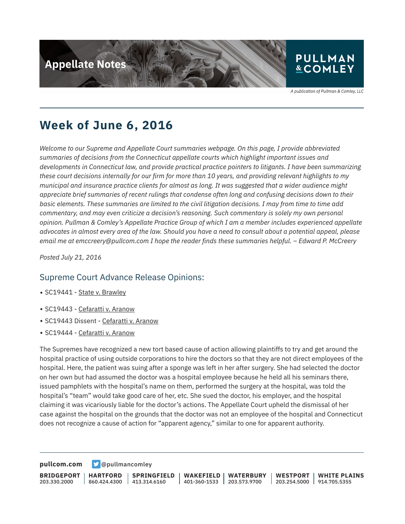

A publication of Pullman & Comley, LLC

## **Week of June 6, 2016**

*Welcome to our Supreme and Appellate Court summaries webpage. On this page, I provide abbreviated summaries of decisions from the Connecticut appellate courts which highlight important issues and developments in Connecticut law, and provide practical practice pointers to litigants. I have been summarizing these court decisions internally for our firm for more than 10 years, and providing relevant highlights to my municipal and insurance practice clients for almost as long. It was suggested that a wider audience might appreciate brief summaries of recent rulings that condense often long and confusing decisions down to their basic elements. These summaries are limited to the civil litigation decisions. I may from time to time add commentary, and may even criticize a decision's reasoning. Such commentary is solely my own personal opinion. Pullman & Comley's Appellate Practice Group of which I am a member includes experienced appellate advocates in almost every area of the law. Should you have a need to consult about a potential appeal, please email me at emccreery@pullcom.com I hope the reader finds these summaries helpful. – Edward P. McCreery*

*Posted July 21, 2016*

### Supreme Court Advance Release Opinions:

- SC19441 State v. Brawley
- SC19443 Cefaratti v. Aranow
- SC19443 Dissent Cefaratti v. Aranow
- SC19444 Cefaratti v. Aranow

The Supremes have recognized a new tort based cause of action allowing plaintiffs to try and get around the hospital practice of using outside corporations to hire the doctors so that they are not direct employees of the hospital. Here, the patient was suing after a sponge was left in her after surgery. She had selected the doctor on her own but had assumed the doctor was a hospital employee because he held all his seminars there, issued pamphlets with the hospital's name on them, performed the surgery at the hospital, was told the hospital's "team" would take good care of her, etc. She sued the doctor, his employer, and the hospital claiming it was vicariously liable for the doctor's actions. The Appellate Court upheld the dismissal of her case against the hospital on the grounds that the doctor was not an employee of the hospital and Connecticut does not recognize a cause of action for "apparent agency," similar to one for apparent authority.

**[pullcom.com](https://www.pullcom.com) g** [@pullmancomley](https://twitter.com/PullmanComley)

**BRIDGEPORT** 203.330.2000 **HARTFORD** 860.424.4300 **SPRINGFIELD**  $1413.314.6160$ **WAKEFIELD** 401-360-1533 **WATERBURY** 203.573.9700 **WESTPORT** 203.254.5000 914.705.5355 **WHITE PLAINS**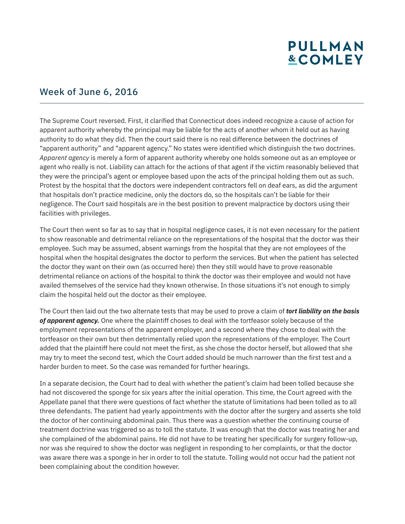# **PULLMAN &COMLEY**

### Week of June 6, 2016

The Supreme Court reversed. First, it clarified that Connecticut does indeed recognize a cause of action for apparent authority whereby the principal may be liable for the acts of another whom it held out as having authority to do what they did. Then the court said there is no real difference between the doctrines of "apparent authority" and "apparent agency." No states were identified which distinguish the two doctrines. *Apparent agency* is merely a form of apparent authority whereby one holds someone out as an employee or agent who really is not. Liability can attach for the actions of that agent if the victim reasonably believed that they were the principal's agent or employee based upon the acts of the principal holding them out as such. Protest by the hospital that the doctors were independent contractors fell on deaf ears, as did the argument that hospitals don't practice medicine, only the doctors do, so the hospitals can't be liable for their negligence. The Court said hospitals are in the best position to prevent malpractice by doctors using their facilities with privileges.

The Court then went so far as to say that in hospital negligence cases, it is not even necessary for the patient to show reasonable and detrimental reliance on the representations of the hospital that the doctor was their employee. Such may be assumed, absent warnings from the hospital that they are not employees of the hospital when the hospital designates the doctor to perform the services. But when the patient has selected the doctor they want on their own (as occurred here) then they still would have to prove reasonable detrimental reliance on actions of the hospital to think the doctor was their employee and would not have availed themselves of the service had they known otherwise. In those situations it's not enough to simply claim the hospital held out the doctor as their employee.

The Court then laid out the two alternate tests that may be used to prove a claim of *tort liability on the basis of apparent agency.* One where the plaintiff choses to deal with the tortfeasor solely because of the employment representations of the apparent employer, and a second where they chose to deal with the tortfeasor on their own but then detrimentally relied upon the representations of the employer. The Court added that the plaintiff here could not meet the first, as she chose the doctor herself, but allowed that she may try to meet the second test, which the Court added should be much narrower than the first test and a harder burden to meet. So the case was remanded for further hearings.

In a separate decision, the Court had to deal with whether the patient's claim had been tolled because she had not discovered the sponge for six years after the initial operation. This time, the Court agreed with the Appellate panel that there were questions of fact whether the statute of limitations had been tolled as to all three defendants. The patient had yearly appointments with the doctor after the surgery and asserts she told the doctor of her continuing abdominal pain. Thus there was a question whether the continuing course of treatment doctrine was triggered so as to toll the statute. It was enough that the doctor was treating her and she complained of the abdominal pains. He did not have to be treating her specifically for surgery follow-up, nor was she required to show the doctor was negligent in responding to her complaints, or that the doctor was aware there was a sponge in her in order to toll the statute. Tolling would not occur had the patient not been complaining about the condition however.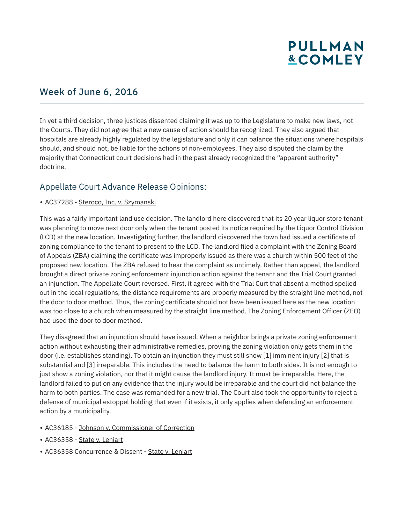# **PULLMAN &COMLEY**

## Week of June 6, 2016

In yet a third decision, three justices dissented claiming it was up to the Legislature to make new laws, not the Courts. They did not agree that a new cause of action should be recognized. They also argued that hospitals are already highly regulated by the legislature and only it can balance the situations where hospitals should, and should not, be liable for the actions of non-employees. They also disputed the claim by the majority that Connecticut court decisions had in the past already recognized the "apparent authority" doctrine.

### Appellate Court Advance Release Opinions:

#### • AC37288 - Steroco, Inc. v. Szymanski

This was a fairly important land use decision. The landlord here discovered that its 20 year liquor store tenant was planning to move next door only when the tenant posted its notice required by the Liquor Control Division (LCD) at the new location. Investigating further, the landlord discovered the town had issued a certificate of zoning compliance to the tenant to present to the LCD. The landlord filed a complaint with the Zoning Board of Appeals (ZBA) claiming the certificate was improperly issued as there was a church within 500 feet of the proposed new location. The ZBA refused to hear the complaint as untimely. Rather than appeal, the landlord brought a direct private zoning enforcement injunction action against the tenant and the Trial Court granted an injunction. The Appellate Court reversed. First, it agreed with the Trial Curt that absent a method spelled out in the local regulations, the distance requirements are properly measured by the straight line method, not the door to door method. Thus, the zoning certificate should not have been issued here as the new location was too close to a church when measured by the straight line method. The Zoning Enforcement Officer (ZEO) had used the door to door method.

They disagreed that an injunction should have issued. When a neighbor brings a private zoning enforcement action without exhausting their administrative remedies, proving the zoning violation only gets them in the door (i.e. establishes standing). To obtain an injunction they must still show [1] imminent injury [2] that is substantial and [3] irreparable. This includes the need to balance the harm to both sides. It is not enough to just show a zoning violation, nor that it might cause the landlord injury. It must be irreparable. Here, the landlord failed to put on any evidence that the injury would be irreparable and the court did not balance the harm to both parties. The case was remanded for a new trial. The Court also took the opportunity to reject a defense of municipal estoppel holding that even if it exists, it only applies when defending an enforcement action by a municipality.

- AC36185 Johnson v. Commissioner of Correction
- AC36358 State v. Leniart
- AC36358 Concurrence & Dissent State v. Leniart